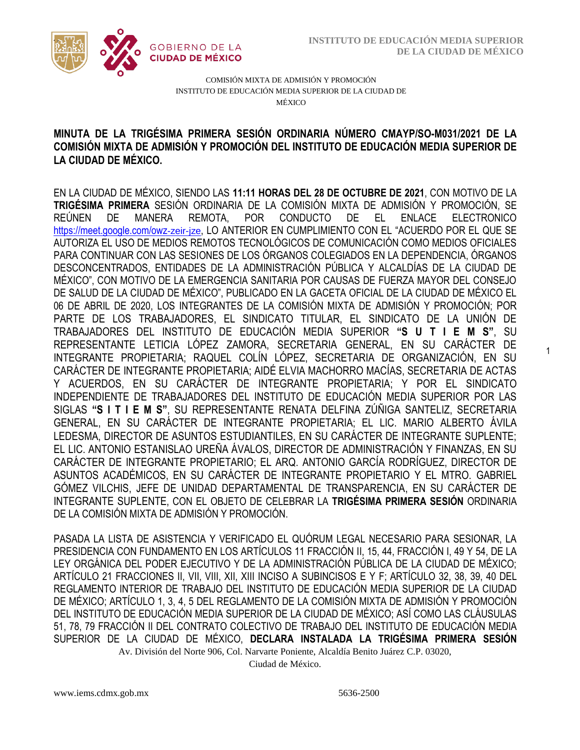1



COMISIÓN MIXTA DE ADMISIÓN Y PROMOCIÓN INSTITUTO DE EDUCACIÓN MEDIA SUPERIOR DE LA CIUDAD DE MÉXICO

## COMISIÓN MIXTA DE ADMISIÓN Y PROMOCIÓN DEL INSTITUTO DE EDUCACIÓN MEDIA SUPERIOR DE **MINUTA DE LA TRIGÉSIMA PRIMERA SESIÓN ORDINARIA NÚMERO CMAYP/SO-M031/2021 DE LA LA CIUDAD DE MÉXICO.**

EN LA CIUDAD DE MÉXICO, SIENDO LAS **11:11 HORAS DEL 28 DE OCTUBRE DE 2021**, CON MOTIVO DE LA **TRIGÉSIMA PRIMERA** SESIÓN ORDINARIA DE LA COMISIÓN MIXTA DE ADMISIÓN Y PROMOCIÓN, SE REÚNEN DE MANERA REMOTA, POR CONDUCTO DE EL ENLACE ELECTRONICO [https://meet.google.com/owz](https://meet.google.com/owz-zeir-)-zeir-ize, LO ANTERIOR EN CUMPLIMIENTO CON EL "ACUERDO POR EL QUE SE AUTORIZA EL USO DE MEDIOS REMOTOS TECNOLÓGICOS DE COMUNICACIÓN COMO MEDIOS OFICIALES PARA CONTINUAR CON LAS SESIONES DE LOS ÓRGANOS COLEGIADOS EN LA DEPENDENCIA, ÓRGANOS DESCONCENTRADOS, ENTIDADES DE LA ADMINISTRACIÓN PÚBLICA Y ALCALDÍAS DE LA CIUDAD DE MÉXICO", CON MOTIVO DE LA EMERGENCIA SANITARIA POR CAUSAS DE FUERZA MAYOR DEL CONSEJO DE SALUD DE LA CIUDAD DE MÉXICO", PUBLICADO EN LA GACETA OFICIAL DE LA CIUDAD DE MÉXICO EL 06 DE ABRIL DE 2020, LOS INTEGRANTES DE LA COMISIÓN MIXTA DE ADMISIÓN Y PROMOCIÓN; POR PARTE DE LOS TRABAJADORES, EL SINDICATO TITULAR, EL SINDICATO DE LA UNIÓN DE TRABAJADORES DEL INSTITUTO DE EDUCACIÓN MEDIA SUPERIOR **"S U T I E M S"**, SU REPRESENTANTE LETICIA LÓPEZ ZAMORA, SECRETARIA GENERAL, EN SU CARÁCTER DE INTEGRANTE PROPIETARIA; RAQUEL COLÍN LÓPEZ, SECRETARIA DE ORGANIZACIÓN, EN SU CARÁCTER DE INTEGRANTE PROPIETARIA; AIDÉ ELVIA MACHORRO MACÍAS, SECRETARIA DE ACTAS Y ACUERDOS, EN SU CARÁCTER DE INTEGRANTE PROPIETARIA; Y POR EL SINDICATO INDEPENDIENTE DE TRABAJADORES DEL INSTITUTO DE EDUCACIÓN MEDIA SUPERIOR POR LAS SIGLAS **"S I T I E M S"**, SU REPRESENTANTE RENATA DELFINA ZÚÑIGA SANTELIZ, SECRETARIA GENERAL, EN SU CARÁCTER DE INTEGRANTE PROPIETARIA; EL LIC. MARIO ALBERTO ÁVILA LEDESMA, DIRECTOR DE ASUNTOS ESTUDIANTILES, EN SU CARÁCTER DE INTEGRANTE SUPLENTE; EL LIC. ANTONIO ESTANISLAO UREÑA ÁVALOS, DIRECTOR DE ADMINISTRACIÓN Y FINANZAS, EN SU CARÁCTER DE INTEGRANTE PROPIETARIO; EL ARQ. ANTONIO GARCÍA RODRÍGUEZ, DIRECTOR DE ASUNTOS ACADÉMICOS, EN SU CARÁCTER DE INTEGRANTE PROPIETARIO Y EL MTRO. GABRIEL GÓMEZ VILCHIS, JEFE DE UNIDAD DEPARTAMENTAL DE TRANSPARENCIA, EN SU CARÁCTER DE INTEGRANTE SUPLENTE, CON EL OBJETO DE CELEBRAR LA **TRIGÉSIMA PRIMERA SESIÓN** ORDINARIA DE LA COMISIÓN MIXTA DE ADMISIÓN Y PROMOCIÓN.

Av. División del Norte 906, Col. Narvarte Poniente, Alcaldía Benito Juárez C.P. 03020, PASADA LA LISTA DE ASISTENCIA Y VERIFICADO EL QUÓRUM LEGAL NECESARIO PARA SESIONAR, LA PRESIDENCIA CON FUNDAMENTO EN LOS ARTÍCULOS 11 FRACCIÓN II, 15, 44, FRACCIÓN I, 49 Y 54, DE LA LEY ORGÁNICA DEL PODER EJECUTIVO Y DE LA ADMINISTRACIÓN PÚBLICA DE LA CIUDAD DE MÉXICO; ARTÍCULO 21 FRACCIONES II, VII, VIII, XII, XIII INCISO A SUBINCISOS E Y F; ARTÍCULO 32, 38, 39, 40 DEL REGLAMENTO INTERIOR DE TRABAJO DEL INSTITUTO DE EDUCACIÓN MEDIA SUPERIOR DE LA CIUDAD DE MÉXICO; ARTÍCULO 1, 3, 4, 5 DEL REGLAMENTO DE LA COMISIÓN MIXTA DE ADMISIÓN Y PROMOCIÓN DEL INSTITUTO DE EDUCACIÓN MEDIA SUPERIOR DE LA CIUDAD DE MÉXICO; ASÍ COMO LAS CLÁUSULAS 51, 78, 79 FRACCIÓN II DEL CONTRATO COLECTIVO DE TRABAJO DEL INSTITUTO DE EDUCACIÓN MEDIA SUPERIOR DE LA CIUDAD DE MÉXICO, **DECLARA INSTALADA LA TRIGÉSIMA PRIMERA SESIÓN** 

Ciudad de México.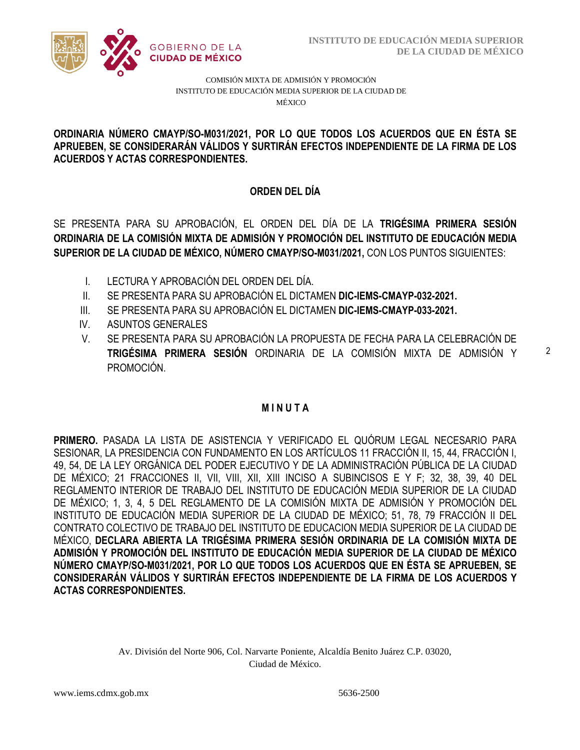

### COMISIÓN MIXTA DE ADMISIÓN Y PROMOCIÓN INSTITUTO DE EDUCACIÓN MEDIA SUPERIOR DE LA CIUDAD DE MÉXICO

#### APRUEBEN, SE CONSIDERARÁN VÁLIDOS Y SURTIRÁN EFECTOS INDEPENDIENTE DE LA FIRMA DE LOS  **ORDINARIA NÚMERO CMAYP/SO-M031/2021, POR LO QUE TODOS LOS ACUERDOS QUE EN ÉSTA SE ACUERDOS Y ACTAS CORRESPONDIENTES.**

# **ORDEN DEL DÍA**

SE PRESENTA PARA SU APROBACIÓN, EL ORDEN DEL DÍA DE LA **TRIGÉSIMA PRIMERA SESIÓN ORDINARIA DE LA COMISIÓN MIXTA DE ADMISIÓN Y PROMOCIÓN DEL INSTITUTO DE EDUCACIÓN MEDIA SUPERIOR DE LA CIUDAD DE MÉXICO, NÚMERO CMAYP/SO-M031/2021,** CON LOS PUNTOS SIGUIENTES:

- I. LECTURA Y APROBACIÓN DEL ORDEN DEL DÍA.
- II. SE PRESENTA PARA SU APROBACIÓN EL DICTAMEN **DIC-IEMS-CMAYP-032-2021.**
- III. SE PRESENTA PARA SU APROBACIÓN EL DICTAMEN **DIC-IEMS-CMAYP-033-2021.**
- IV. ASUNTOS GENERALES
- V. SE PRESENTA PARA SU APROBACIÓN LA PROPUESTA DE FECHA PARA LA CELEBRACIÓN DE **TRIGÉSIMA PRIMERA SESIÓN** ORDINARIA DE LA COMISIÓN MIXTA DE ADMISIÓN Y PROMOCIÓN.

## **M I N U T A**

**PRIMERO.** PASADA LA LISTA DE ASISTENCIA Y VERIFICADO EL QUÓRUM LEGAL NECESARIO PARA SESIONAR, LA PRESIDENCIA CON FUNDAMENTO EN LOS ARTÍCULOS 11 FRACCIÓN II, 15, 44, FRACCIÓN I, 49, 54, DE LA LEY ORGÁNICA DEL PODER EJECUTIVO Y DE LA ADMINISTRACIÓN PÚBLICA DE LA CIUDAD DE MÉXICO; 21 FRACCIONES II, VII, VIII, XII, XIII INCISO A SUBINCISOS E Y F; 32, 38, 39, 40 DEL REGLAMENTO INTERIOR DE TRABAJO DEL INSTITUTO DE EDUCACIÓN MEDIA SUPERIOR DE LA CIUDAD DE MÉXICO; 1, 3, 4, 5 DEL REGLAMENTO DE LA COMISIÓN MIXTA DE ADMISIÓN Y PROMOCIÓN DEL INSTITUTO DE EDUCACIÓN MEDIA SUPERIOR DE LA CIUDAD DE MÉXICO; 51, 78, 79 FRACCIÓN II DEL CONTRATO COLECTIVO DE TRABAJO DEL INSTITUTO DE EDUCACION MEDIA SUPERIOR DE LA CIUDAD DE MÉXICO, **DECLARA ABIERTA LA TRIGÉSIMA PRIMERA SESIÓN ORDINARIA DE LA COMISIÓN MIXTA DE ADMISIÓN Y PROMOCIÓN DEL INSTITUTO DE EDUCACIÓN MEDIA SUPERIOR DE LA CIUDAD DE MÉXICO NÚMERO CMAYP/SO-M031/2021, POR LO QUE TODOS LOS ACUERDOS QUE EN ÉSTA SE APRUEBEN, SE CONSIDERARÁN VÁLIDOS Y SURTIRÁN EFECTOS INDEPENDIENTE DE LA FIRMA DE LOS ACUERDOS Y ACTAS CORRESPONDIENTES.**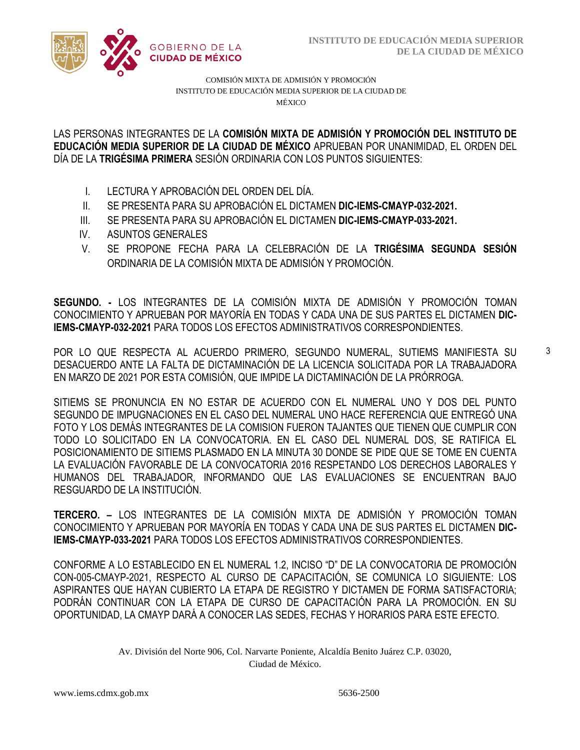

COMISIÓN MIXTA DE ADMISIÓN Y PROMOCIÓN INSTITUTO DE EDUCACIÓN MEDIA SUPERIOR DE LA CIUDAD DE MÉXICO

/2020 **EDUCACIÓN MEDIA SUPERIOR DE LA CIUDAD DE MÉXICO** APRUEBAN POR UNANIMIDAD, EL ORDEN DEL  LAS PERSONAS INTEGRANTES DE LA **COMISIÓN MIXTA DE ADMISIÓN Y PROMOCIÓN DEL INSTITUTO DE**  DÍA DE LA **TRIGÉSIMA PRIMERA** SESIÓN ORDINARIA CON LOS PUNTOS SIGUIENTES:

- I. LECTURA Y APROBACIÓN DEL ORDEN DEL DÍA.
- II. SE PRESENTA PARA SU APROBACIÓN EL DICTAMEN **DIC-IEMS-CMAYP-032-2021.**
- III. SE PRESENTA PARA SU APROBACIÓN EL DICTAMEN **DIC-IEMS-CMAYP-033-2021.**
- IV. ASUNTOS GENERALES
- V. SE PROPONE FECHA PARA LA CELEBRACIÓN DE LA **TRIGÉSIMA SEGUNDA SESIÓN** ORDINARIA DE LA COMISIÓN MIXTA DE ADMISIÓN Y PROMOCIÓN.

**SEGUNDO. -** LOS INTEGRANTES DE LA COMISIÓN MIXTA DE ADMISIÓN Y PROMOCIÓN TOMAN CONOCIMIENTO Y APRUEBAN POR MAYORÍA EN TODAS Y CADA UNA DE SUS PARTES EL DICTAMEN **DIC-IEMS-CMAYP-032-2021** PARA TODOS LOS EFECTOS ADMINISTRATIVOS CORRESPONDIENTES.

POR LO QUE RESPECTA AL ACUERDO PRIMERO, SEGUNDO NUMERAL, SUTIEMS MANIFIESTA SU DESACUERDO ANTE LA FALTA DE DICTAMINACIÓN DE LA LICENCIA SOLICITADA POR LA TRABAJADORA EN MARZO DE 2021 POR ESTA COMISIÓN, QUE IMPIDE LA DICTAMINACIÓN DE LA PRÓRROGA.

SITIEMS SE PRONUNCIA EN NO ESTAR DE ACUERDO CON EL NUMERAL UNO Y DOS DEL PUNTO SEGUNDO DE IMPUGNACIONES EN EL CASO DEL NUMERAL UNO HACE REFERENCIA QUE ENTREGÓ UNA FOTO Y LOS DEMÁS INTEGRANTES DE LA COMISION FUERON TAJANTES QUE TIENEN QUE CUMPLIR CON TODO LO SOLICITADO EN LA CONVOCATORIA. EN EL CASO DEL NUMERAL DOS, SE RATIFICA EL POSICIONAMIENTO DE SITIEMS PLASMADO EN LA MINUTA 30 DONDE SE PIDE QUE SE TOME EN CUENTA LA EVALUACIÓN FAVORABLE DE LA CONVOCATORIA 2016 RESPETANDO LOS DERECHOS LABORALES Y HUMANOS DEL TRABAJADOR, INFORMANDO QUE LAS EVALUACIONES SE ENCUENTRAN BAJO RESGUARDO DE LA INSTITUCIÓN.

**TERCERO. –** LOS INTEGRANTES DE LA COMISIÓN MIXTA DE ADMISIÓN Y PROMOCIÓN TOMAN CONOCIMIENTO Y APRUEBAN POR MAYORÍA EN TODAS Y CADA UNA DE SUS PARTES EL DICTAMEN **DIC-IEMS-CMAYP-033-2021** PARA TODOS LOS EFECTOS ADMINISTRATIVOS CORRESPONDIENTES.

CONFORME A LO ESTABLECIDO EN EL NUMERAL 1.2, INCISO "D" DE LA CONVOCATORIA DE PROMOCIÓN CON-005-CMAYP-2021, RESPECTO AL CURSO DE CAPACITACIÓN, SE COMUNICA LO SIGUIENTE: LOS ASPIRANTES QUE HAYAN CUBIERTO LA ETAPA DE REGISTRO Y DICTAMEN DE FORMA SATISFACTORIA; PODRÁN CONTINUAR CON LA ETAPA DE CURSO DE CAPACITACIÓN PARA LA PROMOCIÓN. EN SU OPORTUNIDAD, LA CMAYP DARÁ A CONOCER LAS SEDES, FECHAS Y HORARIOS PARA ESTE EFECTO.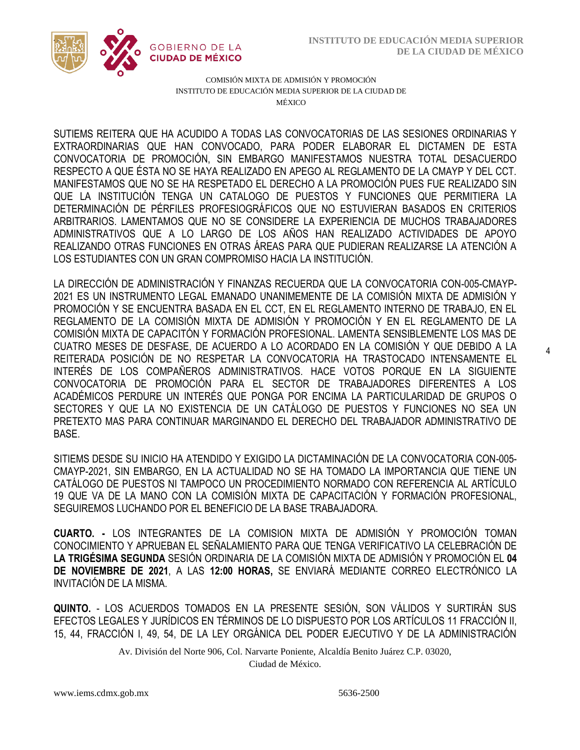4



COMISIÓN MIXTA DE ADMISIÓN Y PROMOCIÓN INSTITUTO DE EDUCACIÓN MEDIA SUPERIOR DE LA CIUDAD DE MÉXICO

EXTRAORDINARIAS QUE HAN CONVOCADO, PARA PODER ELABORAR EL DICTAMEN DE ESTA  RESPECTO A QUE ÉSTA NO SE HAYA REALIZADO EN APEGO AL REGLAMENTO DE LA CMAYP Y DEL CCT. SUTIEMS REITERA QUE HA ACUDIDO A TODAS LAS CONVOCATORIAS DE LAS SESIONES ORDINARIAS Y CONVOCATORIA DE PROMOCIÓN, SIN EMBARGO MANIFESTAMOS NUESTRA TOTAL DESACUERDO MANIFESTAMOS QUE NO SE HA RESPETADO EL DERECHO A LA PROMOCIÓN PUES FUE REALIZADO SIN QUE LA INSTITUCIÓN TENGA UN CATALOGO DE PUESTOS Y FUNCIONES QUE PERMITIERA LA DETERMINACIÓN DE PÉRFILES PROFESIOGRÁFICOS QUE NO ESTUVIERAN BASADOS EN CRITERIOS ARBITRARIOS. LAMENTAMOS QUE NO SE CONSIDERE LA EXPERIENCIA DE MUCHOS TRABAJADORES ADMINISTRATIVOS QUE A LO LARGO DE LOS AÑOS HAN REALIZADO ACTIVIDADES DE APOYO REALIZANDO OTRAS FUNCIONES EN OTRAS ÁREAS PARA QUE PUDIERAN REALIZARSE LA ATENCIÓN A LOS ESTUDIANTES CON UN GRAN COMPROMISO HACIA LA INSTITUCIÓN.

LA DIRECCIÓN DE ADMINISTRACIÓN Y FINANZAS RECUERDA QUE LA CONVOCATORIA CON-005-CMAYP-2021 ES UN INSTRUMENTO LEGAL EMANADO UNANIMEMENTE DE LA COMISIÓN MIXTA DE ADMISIÓN Y PROMOCIÓN Y SE ENCUENTRA BASADA EN EL CCT, EN EL REGLAMENTO INTERNO DE TRABAJO, EN EL REGLAMENTO DE LA COMISIÓN MIXTA DE ADMISIÓN Y PROMOCIÓN Y EN EL REGLAMENTO DE LA COMISIÓN MIXTA DE CAPACITÓN Y FORMACIÓN PROFESIONAL. LAMENTA SENSIBLEMENTE LOS MAS DE CUATRO MESES DE DESFASE, DE ACUERDO A LO ACORDADO EN LA COMISIÓN Y QUE DEBIDO A LA REITERADA POSICIÓN DE NO RESPETAR LA CONVOCATORIA HA TRASTOCADO INTENSAMENTE EL INTERÉS DE LOS COMPAÑEROS ADMINISTRATIVOS. HACE VOTOS PORQUE EN LA SIGUIENTE CONVOCATORIA DE PROMOCIÓN PARA EL SECTOR DE TRABAJADORES DIFERENTES A LOS ACADÉMICOS PERDURE UN INTERÉS QUE PONGA POR ENCIMA LA PARTICULARIDAD DE GRUPOS O SECTORES Y QUE LA NO EXISTENCIA DE UN CATÁLOGO DE PUESTOS Y FUNCIONES NO SEA UN PRETEXTO MAS PARA CONTINUAR MARGINANDO EL DERECHO DEL TRABAJADOR ADMINISTRATIVO DE BASE.

SITIEMS DESDE SU INICIO HA ATENDIDO Y EXIGIDO LA DICTAMINACIÓN DE LA CONVOCATORIA CON-005- CMAYP-2021, SIN EMBARGO, EN LA ACTUALIDAD NO SE HA TOMADO LA IMPORTANCIA QUE TIENE UN CATÁLOGO DE PUESTOS NI TAMPOCO UN PROCEDIMIENTO NORMADO CON REFERENCIA AL ARTÍCULO 19 QUE VA DE LA MANO CON LA COMISIÓN MIXTA DE CAPACITACIÓN Y FORMACIÓN PROFESIONAL, SEGUIREMOS LUCHANDO POR EL BENEFICIO DE LA BASE TRABAJADORA.

**CUARTO. -** LOS INTEGRANTES DE LA COMISION MIXTA DE ADMISIÓN Y PROMOCIÓN TOMAN CONOCIMIENTO Y APRUEBAN EL SEÑALAMIENTO PARA QUE TENGA VERIFICATIVO LA CELEBRACIÓN DE **LA TRIGÉSIMA SEGUNDA** SESIÓN ORDINARIA DE LA COMISIÓN MIXTA DE ADMISIÓN Y PROMOCIÓN EL **04 DE NOVIEMBRE DE 2021**, A LAS **12:00 HORAS,** SE ENVIARÁ MEDIANTE CORREO ELECTRÓNICO LA INVITACIÓN DE LA MISMA.

**QUINTO.** - LOS ACUERDOS TOMADOS EN LA PRESENTE SESIÓN, SON VÁLIDOS Y SURTIRÁN SUS EFECTOS LEGALES Y JURÍDICOS EN TÉRMINOS DE LO DISPUESTO POR LOS ARTÍCULOS 11 FRACCIÓN II, 15, 44, FRACCIÓN I, 49, 54, DE LA LEY ORGÁNICA DEL PODER EJECUTIVO Y DE LA ADMINISTRACIÓN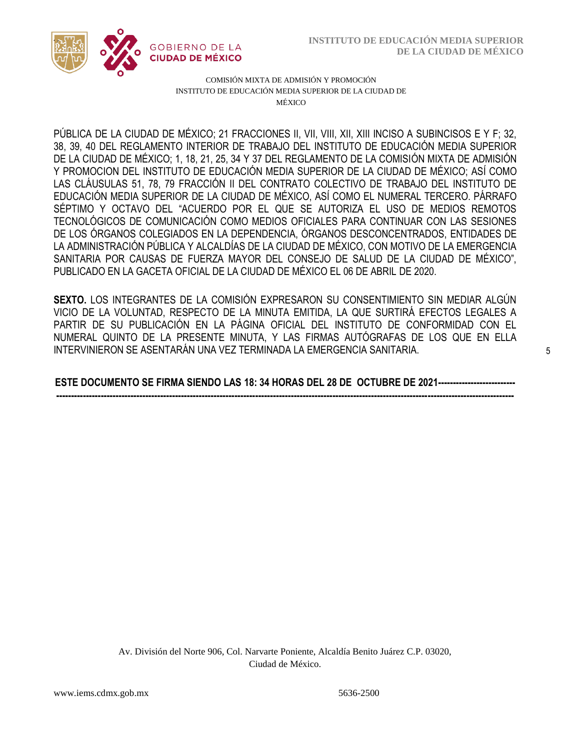

COMISIÓN MIXTA DE ADMISIÓN Y PROMOCIÓN INSTITUTO DE EDUCACIÓN MEDIA SUPERIOR DE LA CIUDAD DE MÉXICO

38, 39, 40 DEL REGLAMENTO INTERIOR DE TRABAJO DEL INSTITUTO DE EDUCACIÓN MEDIA SUPERIOR  Y PROMOCION DEL INSTITUTO DE EDUCACIÓN MEDIA SUPERIOR DE LA CIUDAD DE MÉXICO; ASÍ COMO PÚBLICA DE LA CIUDAD DE MÉXICO; 21 FRACCIONES II, VII, VIII, XII, XIII INCISO A SUBINCISOS E Y F; 32, DE LA CIUDAD DE MÉXICO; 1, 18, 21, 25, 34 Y 37 DEL REGLAMENTO DE LA COMISIÓN MIXTA DE ADMISIÓN LAS CLÁUSULAS 51, 78, 79 FRACCIÓN II DEL CONTRATO COLECTIVO DE TRABAJO DEL INSTITUTO DE EDUCACIÓN MEDIA SUPERIOR DE LA CIUDAD DE MÉXICO, ASÍ COMO EL NUMERAL TERCERO. PÁRRAFO SÉPTIMO Y OCTAVO DEL "ACUERDO POR EL QUE SE AUTORIZA EL USO DE MEDIOS REMOTOS TECNOLÓGICOS DE COMUNICACIÓN COMO MEDIOS OFICIALES PARA CONTINUAR CON LAS SESIONES DE LOS ÓRGANOS COLEGIADOS EN LA DEPENDENCIA, ÓRGANOS DESCONCENTRADOS, ENTIDADES DE LA ADMINISTRACIÓN PÚBLICA Y ALCALDÍAS DE LA CIUDAD DE MÉXICO, CON MOTIVO DE LA EMERGENCIA SANITARIA POR CAUSAS DE FUERZA MAYOR DEL CONSEJO DE SALUD DE LA CIUDAD DE MÉXICO", PUBLICADO EN LA GACETA OFICIAL DE LA CIUDAD DE MÉXICO EL 06 DE ABRIL DE 2020.

**SEXTO.** LOS INTEGRANTES DE LA COMISIÓN EXPRESARON SU CONSENTIMIENTO SIN MEDIAR ALGÚN VICIO DE LA VOLUNTAD, RESPECTO DE LA MINUTA EMITIDA, LA QUE SURTIRÁ EFECTOS LEGALES A PARTIR DE SU PUBLICACIÓN EN LA PÁGINA OFICIAL DEL INSTITUTO DE CONFORMIDAD CON EL NUMERAL QUINTO DE LA PRESENTE MINUTA, Y LAS FIRMAS AUTÓGRAFAS DE LOS QUE EN ELLA INTERVINIERON SE ASENTARÁN UNA VEZ TERMINADA LA EMERGENCIA SANITARIA.

**ESTE DOCUMENTO SE FIRMA SIENDO LAS 18: 34 HORAS DEL 28 DE OCTUBRE DE 2021-------------------------- ----------------------------------------------------------------------------------------------------------------------------------------------------------**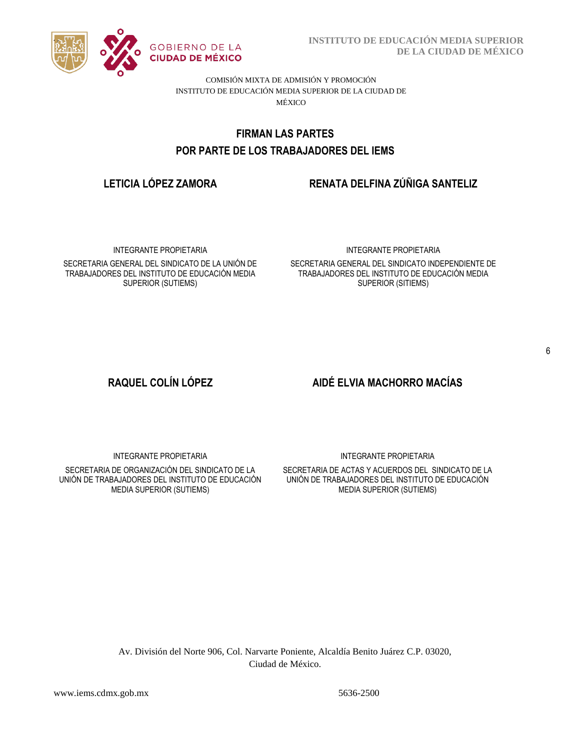

**INSTITUTO DE EDUCACIÓN MEDIA SUPERIOR DE LA CIUDAD DE MÉXICO**

COMISIÓN MIXTA DE ADMISIÓN Y PROMOCIÓN INSTITUTO DE EDUCACIÓN MEDIA SUPERIOR DE LA CIUDAD DE MÉXICO

# POR PARTE DE LOS TRABAJADORES DEL IEMS **FIRMAN LAS PARTES**

# **LETICIA LÓPEZ ZAMORA RENATA DELFINA ZÚÑIGA SANTELIZ**

INTEGRANTE PROPIETARIA

SECRETARIA GENERAL DEL SINDICATO DE LA UNIÓN DE TRABAJADORES DEL INSTITUTO DE EDUCACIÓN MEDIA SUPERIOR (SUTIEMS)

### INTEGRANTE PROPIETARIA

SECRETARIA GENERAL DEL SINDICATO INDEPENDIENTE DE TRABAJADORES DEL INSTITUTO DE EDUCACIÓN MEDIA SUPERIOR (SITIEMS)

# **RAQUEL COLÍN LÓPEZ AIDÉ ELVIA MACHORRO MACÍAS**

INTEGRANTE PROPIETARIA

SECRETARIA DE ORGANIZACIÓN DEL SINDICATO DE LA UNIÓN DE TRABAJADORES DEL INSTITUTO DE EDUCACIÓN MEDIA SUPERIOR (SUTIEMS)

INTEGRANTE PROPIETARIA

SECRETARIA DE ACTAS Y ACUERDOS DEL SINDICATO DE LA UNIÓN DE TRABAJADORES DEL INSTITUTO DE EDUCACIÓN MEDIA SUPERIOR (SUTIEMS)